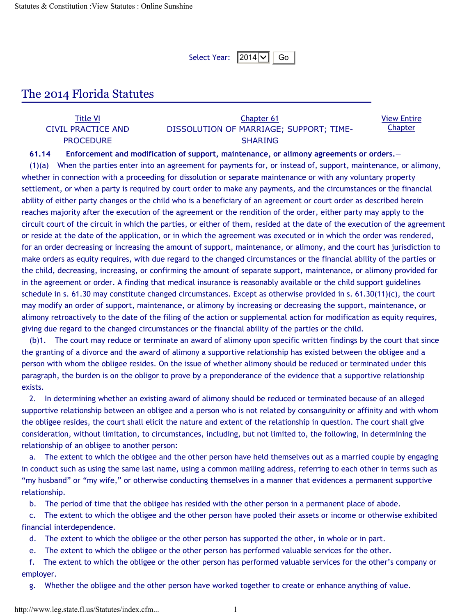Select Year:  $|2014|\vee||$  Go

## The 2014 Florida Statutes

| <b>Title VI</b>    | Chapter 61                              | <b>View Entire</b> |
|--------------------|-----------------------------------------|--------------------|
| CIVIL PRACTICE AND | DISSOLUTION OF MARRIAGE; SUPPORT; TIME- | <b>Chapter</b>     |
| <b>PROCEDURE</b>   | <b>SHARING</b>                          |                    |

## **61.14 Enforcement and modification of support, maintenance, or alimony agreements or orders.**—

(1)(a) When the parties enter into an agreement for payments for, or instead of, support, maintenance, or alimony, whether in connection with a proceeding for dissolution or separate maintenance or with any voluntary property settlement, or when a party is required by court order to make any payments, and the circumstances or the financial ability of either party changes or the child who is a beneficiary of an agreement or court order as described herein reaches majority after the execution of the agreement or the rendition of the order, either party may apply to the circuit court of the circuit in which the parties, or either of them, resided at the date of the execution of the agreement or reside at the date of the application, or in which the agreement was executed or in which the order was rendered, for an order decreasing or increasing the amount of support, maintenance, or alimony, and the court has jurisdiction to make orders as equity requires, with due regard to the changed circumstances or the financial ability of the parties or the child, decreasing, increasing, or confirming the amount of separate support, maintenance, or alimony provided for in the agreement or order. A finding that medical insurance is reasonably available or the child support guidelines schedule in s.  $61.30$  may constitute changed circumstances. Except as otherwise provided in s.  $61.30(11)(c)$ , the court may modify an order of support, maintenance, or alimony by increasing or decreasing the support, maintenance, or alimony retroactively to the date of the filing of the action or supplemental action for modification as equity requires, giving due regard to the changed circumstances or the financial ability of the parties or the child.

(b)1. The court may reduce or terminate an award of alimony upon specific written findings by the court that since the granting of a divorce and the award of alimony a supportive relationship has existed between the obligee and a person with whom the obligee resides. On the issue of whether alimony should be reduced or terminated under this paragraph, the burden is on the obligor to prove by a preponderance of the evidence that a supportive relationship exists.

2. In determining whether an existing award of alimony should be reduced or terminated because of an alleged supportive relationship between an obligee and a person who is not related by consanguinity or affinity and with whom the obligee resides, the court shall elicit the nature and extent of the relationship in question. The court shall give consideration, without limitation, to circumstances, including, but not limited to, the following, in determining the relationship of an obligee to another person:

a. The extent to which the obligee and the other person have held themselves out as a married couple by engaging in conduct such as using the same last name, using a common mailing address, referring to each other in terms such as "my husband" or "my wife," or otherwise conducting themselves in a manner that evidences a permanent supportive relationship.

b. The period of time that the obligee has resided with the other person in a permanent place of abode.

c. The extent to which the obligee and the other person have pooled their assets or income or otherwise exhibited financial interdependence.

d. The extent to which the obligee or the other person has supported the other, in whole or in part.

e. The extent to which the obligee or the other person has performed valuable services for the other.

f. The extent to which the obligee or the other person has performed valuable services for the other's company or employer.

g. Whether the obligee and the other person have worked together to create or enhance anything of value.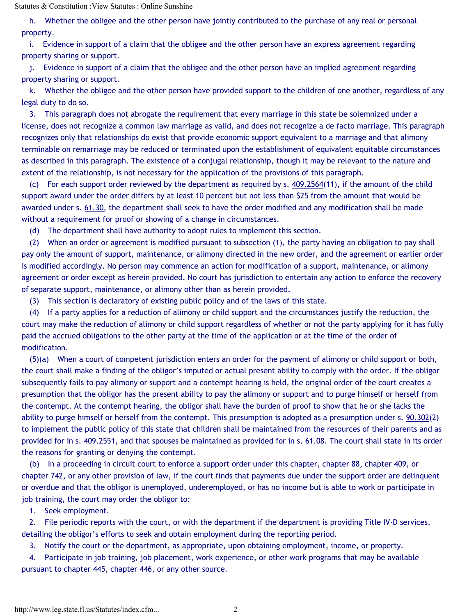h. Whether the obligee and the other person have jointly contributed to the purchase of any real or personal property.

i. Evidence in support of a claim that the obligee and the other person have an express agreement regarding property sharing or support.

j. Evidence in support of a claim that the obligee and the other person have an implied agreement regarding property sharing or support.

k. Whether the obligee and the other person have provided support to the children of one another, regardless of any legal duty to do so.

3. This paragraph does not abrogate the requirement that every marriage in this state be solemnized under a license, does not recognize a common law marriage as valid, and does not recognize a de facto marriage. This paragraph recognizes only that relationships do exist that provide economic support equivalent to a marriage and that alimony terminable on remarriage may be reduced or terminated upon the establishment of equivalent equitable circumstances as described in this paragraph. The existence of a conjugal relationship, though it may be relevant to the nature and extent of the relationship, is not necessary for the application of the provisions of this paragraph.

(c) For each support order reviewed by the department as required by s. 409.2564(11), if the amount of the child support award under the order differs by at least 10 percent but not less than \$25 from the amount that would be awarded under s. 61.30, the department shall seek to have the order modified and any modification shall be made without a requirement for proof or showing of a change in circumstances.

(d) The department shall have authority to adopt rules to implement this section.

(2) When an order or agreement is modified pursuant to subsection (1), the party having an obligation to pay shall pay only the amount of support, maintenance, or alimony directed in the new order, and the agreement or earlier order is modified accordingly. No person may commence an action for modification of a support, maintenance, or alimony agreement or order except as herein provided. No court has jurisdiction to entertain any action to enforce the recovery of separate support, maintenance, or alimony other than as herein provided.

(3) This section is declaratory of existing public policy and of the laws of this state.

(4) If a party applies for a reduction of alimony or child support and the circumstances justify the reduction, the court may make the reduction of alimony or child support regardless of whether or not the party applying for it has fully paid the accrued obligations to the other party at the time of the application or at the time of the order of modification.

(5)(a) When a court of competent jurisdiction enters an order for the payment of alimony or child support or both, the court shall make a finding of the obligor's imputed or actual present ability to comply with the order. If the obligor subsequently fails to pay alimony or support and a contempt hearing is held, the original order of the court creates a presumption that the obligor has the present ability to pay the alimony or support and to purge himself or herself from the contempt. At the contempt hearing, the obligor shall have the burden of proof to show that he or she lacks the ability to purge himself or herself from the contempt. This presumption is adopted as a presumption under s.  $90.302(2)$ to implement the public policy of this state that children shall be maintained from the resources of their parents and as provided for in s. 409.2551, and that spouses be maintained as provided for in s. 61.08. The court shall state in its order the reasons for granting or denying the contempt.

(b) In a proceeding in circuit court to enforce a support order under this chapter, chapter 88, chapter 409, or chapter 742, or any other provision of law, if the court finds that payments due under the support order are delinquent or overdue and that the obligor is unemployed, underemployed, or has no income but is able to work or participate in job training, the court may order the obligor to:

1. Seek employment.

2. File periodic reports with the court, or with the department if the department is providing Title IV-D services, detailing the obligor's efforts to seek and obtain employment during the reporting period.

3. Notify the court or the department, as appropriate, upon obtaining employment, income, or property.

4. Participate in job training, job placement, work experience, or other work programs that may be available pursuant to chapter 445, chapter 446, or any other source.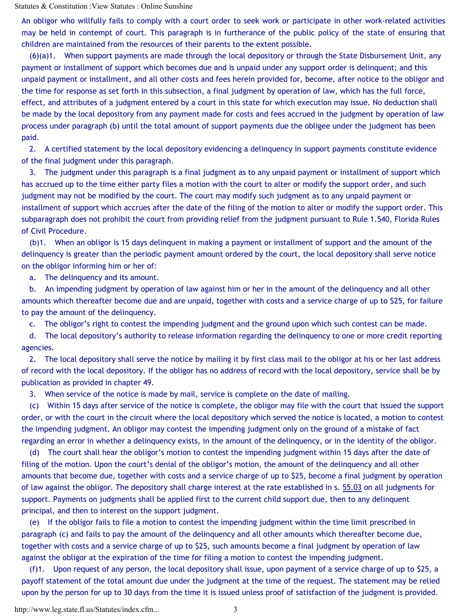An obligor who willfully fails to comply with a court order to seek work or participate in other work-related activities may be held in contempt of court. This paragraph is in furtherance of the public policy of the state of ensuring that children are maintained from the resources of their parents to the extent possible.

(6)(a)1. When support payments are made through the local depository or through the State Disbursement Unit, any payment or installment of support which becomes due and is unpaid under any support order is delinquent; and this unpaid payment or installment, and all other costs and fees herein provided for, become, after notice to the obligor and the time for response as set forth in this subsection, a final judgment by operation of law, which has the full force, effect, and attributes of a judgment entered by a court in this state for which execution may issue. No deduction shall be made by the local depository from any payment made for costs and fees accrued in the judgment by operation of law process under paragraph (b) until the total amount of support payments due the obligee under the judgment has been paid.

2. A certified statement by the local depository evidencing a delinquency in support payments constitute evidence of the final judgment under this paragraph.

3. The judgment under this paragraph is a final judgment as to any unpaid payment or installment of support which has accrued up to the time either party files a motion with the court to alter or modify the support order, and such judgment may not be modified by the court. The court may modify such judgment as to any unpaid payment or installment of support which accrues after the date of the filing of the motion to alter or modify the support order. This subparagraph does not prohibit the court from providing relief from the judgment pursuant to Rule 1.540, Florida Rules of Civil Procedure.

(b)1. When an obligor is 15 days delinquent in making a payment or installment of support and the amount of the delinquency is greater than the periodic payment amount ordered by the court, the local depository shall serve notice on the obligor informing him or her of:

a. The delinquency and its amount.

b. An impending judgment by operation of law against him or her in the amount of the delinquency and all other amounts which thereafter become due and are unpaid, together with costs and a service charge of up to \$25, for failure to pay the amount of the delinquency.

c. The obligor's right to contest the impending judgment and the ground upon which such contest can be made.

d. The local depository's authority to release information regarding the delinquency to one or more credit reporting agencies.

2. The local depository shall serve the notice by mailing it by first class mail to the obligor at his or her last address of record with the local depository. If the obligor has no address of record with the local depository, service shall be by publication as provided in chapter 49.

3. When service of the notice is made by mail, service is complete on the date of mailing.

(c) Within 15 days after service of the notice is complete, the obligor may file with the court that issued the support order, or with the court in the circuit where the local depository which served the notice is located, a motion to contest the impending judgment. An obligor may contest the impending judgment only on the ground of a mistake of fact regarding an error in whether a delinquency exists, in the amount of the delinquency, or in the identity of the obligor.

(d) The court shall hear the obligor's motion to contest the impending judgment within 15 days after the date of filing of the motion. Upon the court's denial of the obligor's motion, the amount of the delinquency and all other amounts that become due, together with costs and a service charge of up to \$25, become a final judgment by operation of law against the obligor. The depository shall charge interest at the rate established in s. 55.03 on all judgments for support. Payments on judgments shall be applied first to the current child support due, then to any delinquent principal, and then to interest on the support judgment.

(e) If the obligor fails to file a motion to contest the impending judgment within the time limit prescribed in paragraph (c) and fails to pay the amount of the delinquency and all other amounts which thereafter become due, together with costs and a service charge of up to \$25, such amounts become a final judgment by operation of law against the obligor at the expiration of the time for filing a motion to contest the impending judgment.

(f)1. Upon request of any person, the local depository shall issue, upon payment of a service charge of up to \$25, a payoff statement of the total amount due under the judgment at the time of the request. The statement may be relied upon by the person for up to 30 days from the time it is issued unless proof of satisfaction of the judgment is provided.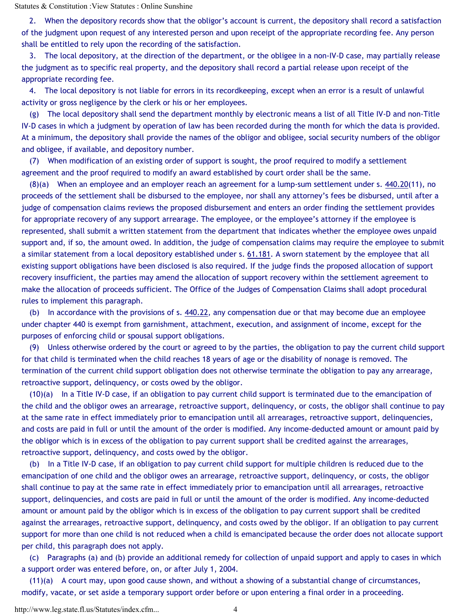2. When the depository records show that the obligor's account is current, the depository shall record a satisfaction of the judgment upon request of any interested person and upon receipt of the appropriate recording fee. Any person shall be entitled to rely upon the recording of the satisfaction.

3. The local depository, at the direction of the department, or the obligee in a non-IV-D case, may partially release the judgment as to specific real property, and the depository shall record a partial release upon receipt of the appropriate recording fee.

4. The local depository is not liable for errors in its recordkeeping, except when an error is a result of unlawful activity or gross negligence by the clerk or his or her employees.

(g) The local depository shall send the department monthly by electronic means a list of all Title IV-D and non-Title IV-D cases in which a judgment by operation of law has been recorded during the month for which the data is provided. At a minimum, the depository shall provide the names of the obligor and obligee, social security numbers of the obligor and obligee, if available, and depository number.

(7) When modification of an existing order of support is sought, the proof required to modify a settlement agreement and the proof required to modify an award established by court order shall be the same.

(8)(a) When an employee and an employer reach an agreement for a lump-sum settlement under s. 440.20(11), no proceeds of the settlement shall be disbursed to the employee, nor shall any attorney's fees be disbursed, until after a judge of compensation claims reviews the proposed disbursement and enters an order finding the settlement provides for appropriate recovery of any support arrearage. The employee, or the employee's attorney if the employee is represented, shall submit a written statement from the department that indicates whether the employee owes unpaid support and, if so, the amount owed. In addition, the judge of compensation claims may require the employee to submit a similar statement from a local depository established under s. 61.181. A sworn statement by the employee that all existing support obligations have been disclosed is also required. If the judge finds the proposed allocation of support recovery insufficient, the parties may amend the allocation of support recovery within the settlement agreement to make the allocation of proceeds sufficient. The Office of the Judges of Compensation Claims shall adopt procedural rules to implement this paragraph.

(b) In accordance with the provisions of s. 440.22, any compensation due or that may become due an employee under chapter 440 is exempt from garnishment, attachment, execution, and assignment of income, except for the purposes of enforcing child or spousal support obligations.

(9) Unless otherwise ordered by the court or agreed to by the parties, the obligation to pay the current child support for that child is terminated when the child reaches 18 years of age or the disability of nonage is removed. The termination of the current child support obligation does not otherwise terminate the obligation to pay any arrearage, retroactive support, delinquency, or costs owed by the obligor.

(10)(a) In a Title IV-D case, if an obligation to pay current child support is terminated due to the emancipation of the child and the obligor owes an arrearage, retroactive support, delinquency, or costs, the obligor shall continue to pay at the same rate in effect immediately prior to emancipation until all arrearages, retroactive support, delinquencies, and costs are paid in full or until the amount of the order is modified. Any income-deducted amount or amount paid by the obligor which is in excess of the obligation to pay current support shall be credited against the arrearages, retroactive support, delinquency, and costs owed by the obligor.

(b) In a Title IV-D case, if an obligation to pay current child support for multiple children is reduced due to the emancipation of one child and the obligor owes an arrearage, retroactive support, delinquency, or costs, the obligor shall continue to pay at the same rate in effect immediately prior to emancipation until all arrearages, retroactive support, delinquencies, and costs are paid in full or until the amount of the order is modified. Any income-deducted amount or amount paid by the obligor which is in excess of the obligation to pay current support shall be credited against the arrearages, retroactive support, delinquency, and costs owed by the obligor. If an obligation to pay current support for more than one child is not reduced when a child is emancipated because the order does not allocate support per child, this paragraph does not apply.

(c) Paragraphs (a) and (b) provide an additional remedy for collection of unpaid support and apply to cases in which a support order was entered before, on, or after July 1, 2004.

(11)(a) A court may, upon good cause shown, and without a showing of a substantial change of circumstances, modify, vacate, or set aside a temporary support order before or upon entering a final order in a proceeding.

http://www.leg.state.fl.us/Statutes/index.cfm... 4